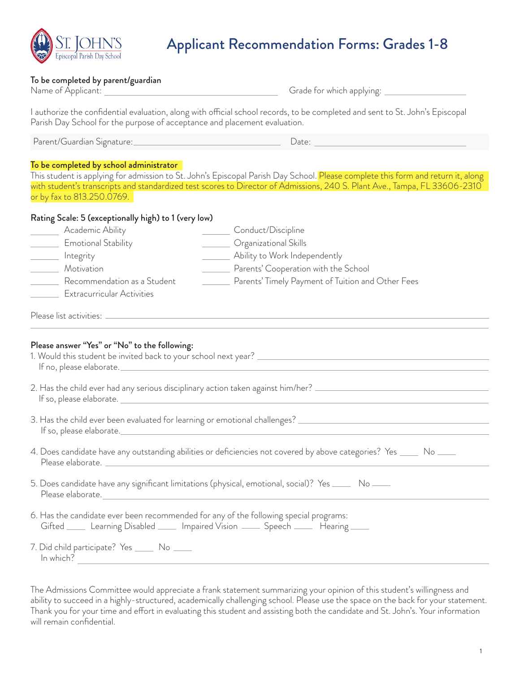

## Applicant Recommendation Forms: Grades 1-8

## To be completed by parent/guardian

| Name of Applicant:                                                                                                                                                                 | Grade for which applying:                                                                                                                     |
|------------------------------------------------------------------------------------------------------------------------------------------------------------------------------------|-----------------------------------------------------------------------------------------------------------------------------------------------|
| Parish Day School for the purpose of acceptance and placement evaluation.                                                                                                          | I authorize the confidential evaluation, along with official school records, to be completed and sent to St. John's Episcopal                 |
| Parent/Guardian Signature:                                                                                                                                                         | Date:                                                                                                                                         |
| To be completed by school administrator                                                                                                                                            |                                                                                                                                               |
|                                                                                                                                                                                    | This student is applying for admission to St. John's Episcopal Parish Day School. <mark>Please complete this form and return it, along</mark> |
|                                                                                                                                                                                    | with student's transcripts and standardized test scores to Director of Admissions, 240 S. Plant Ave., Tampa, FL 33606-2310                    |
| or by fax to 813.250.0769.                                                                                                                                                         |                                                                                                                                               |
| Rating Scale: 5 (exceptionally high) to 1 (very low)                                                                                                                               |                                                                                                                                               |
| Academic Ability                                                                                                                                                                   | Conduct/Discipline                                                                                                                            |
| <b>Emotional Stability</b>                                                                                                                                                         | Organizational Skills                                                                                                                         |
| Integrity                                                                                                                                                                          | Ability to Work Independently                                                                                                                 |
| Motivation                                                                                                                                                                         | Parents' Cooperation with the School                                                                                                          |
| Recommendation as a Student                                                                                                                                                        | Parents' Timely Payment of Tuition and Other Fees                                                                                             |
| <b>Extracurricular Activities</b>                                                                                                                                                  |                                                                                                                                               |
|                                                                                                                                                                                    |                                                                                                                                               |
| Please list activities: -                                                                                                                                                          |                                                                                                                                               |
| Please answer "Yes" or "No" to the following:<br>1. Would this student be invited back to your school next year? _<br>If no, please elaborate.                                     |                                                                                                                                               |
| 2. Has the child ever had any serious disciplinary action taken against him/her? $\equiv$<br>If so, please elaborate.                                                              |                                                                                                                                               |
| 3. Has the child ever been evaluated for learning or emotional challenges? _<br>If so, please elaborate.                                                                           |                                                                                                                                               |
|                                                                                                                                                                                    | 4. Does candidate have any outstanding abilities or deficiencies not covered by above categories? Yes ____<br>No <u>__</u>                    |
| 5. Does candidate have any significant limitations (physical, emotional, social)? Yes _____ No ____<br>Please elaborate.                                                           |                                                                                                                                               |
| 6. Has the candidate ever been recommended for any of the following special programs:<br>Gifted ______ Learning Disabled ______ Impaired Vision ______ Speech ______ Hearing _____ |                                                                                                                                               |
| 7. Did child participate? Yes _____ No _____<br>In which?                                                                                                                          |                                                                                                                                               |

The Admissions Committee would appreciate a frank statement summarizing your opinion of this student's willingness and ability to succeed in a highly-structured, academically challenging school. Please use the space on the back for your statement. Thank you for your time and effort in evaluating this student and assisting both the candidate and St. John's. Your information will remain confidential.